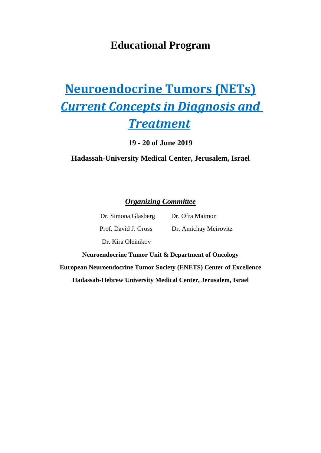## **Educational Program**

# **Neuroendocrine Tumors (NETs)** *Current Concepts in Diagnosis and Treatment*

**19 - 20 of June 2019**

## **Hadassah-University Medical Center, Jerusalem, Israel**

*Organizing Committee*

| Dr. Simona Glasberg  | Dr. Ofra Maimon       |
|----------------------|-----------------------|
| Prof. David J. Gross | Dr. Amichay Meirovitz |
| Dr. Kira Oleinikov   |                       |

**Neuroendocrine Tumor Unit & Department of Oncology European Neuroendocrine Tumor Society (ENETS) Center of Excellence Hadassah-Hebrew University Medical Center, Jerusalem, Israel**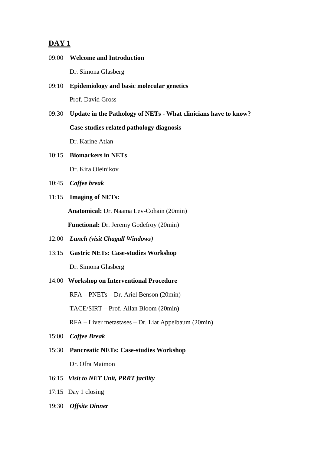### **DAY 1**

- 09:00 **Welcome and Introduction** Dr. Simona Glasberg
- 09:10 **Epidemiology and basic molecular genetics** Prof. David Gross
- 09:30 **Update in the Pathology of NETs - What clinicians have to know? Case-studies related pathology diagnosis** Dr. Karine Atlan
- 10:15 **Biomarkers in NETs**

Dr. Kira Oleinikov

- 10:45 *Coffee break*
- 11:15 **Imaging of NETs:**

**Anatomical:** Dr. Naama Lev-Cohain (20min)

**Functional:** Dr. Jeremy Godefroy (20min)

- 12:00 *Lunch (visit Chagall Windows)*
- 13:15 **Gastric NETs: Case-studies Workshop**

Dr. Simona Glasberg

14:00 **Workshop on Interventional Procedure**

RFA – PNETs – Dr. Ariel Benson (20min)

TACE/SIRT – Prof. Allan Bloom (20min)

RFA – Liver metastases – Dr. Liat Appelbaum (20min)

- 15:00 *Coffee Break*
- 15:30 **Pancreatic NETs: Case-studies Workshop** Dr. Ofra Maimon
- 16:15 *Visit to NET Unit, PRRT facility*
- 17:15 Day 1 closing
- 19:30 *Offsite Dinner*